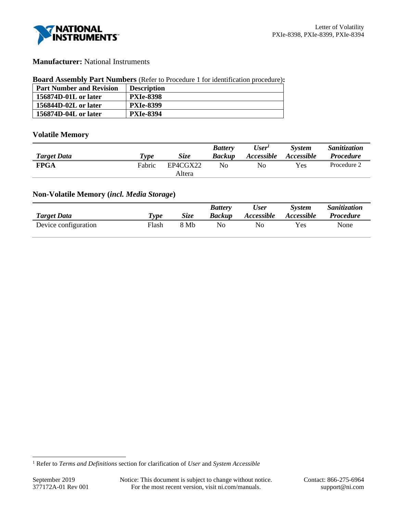

## **Manufacturer:** National Instruments

#### **Board Assembly Part Numbers** (Refer to Procedure 1 for identification procedure)**:**

| <b>Part Number and Revision</b> | <b>Description</b> |
|---------------------------------|--------------------|
| 156874D-01L or later            | <b>PXIe-8398</b>   |
| 156844D-02L or later            | <b>PXIe-8399</b>   |
| 156874D-04L or later            | <b>PXIe-8394</b>   |

# **Volatile Memory**

|                    |                       |             | <b>Battery</b> | User'                    | <b>System</b> | Sanitization     |
|--------------------|-----------------------|-------------|----------------|--------------------------|---------------|------------------|
| <b>Target Data</b> | $\tau_{\textit{ype}}$ | <b>Size</b> | <b>Backup</b>  | <i><b>Accessible</b></i> | Accessible    | <b>Procedure</b> |
| <b>FPGA</b>        | Fabric                | EP4CGX22    | No             | No                       | Yes           | Procedure 2      |
|                    |                       | Altera      |                |                          |               |                  |

# **Non-Volatile Memory (***incl. Media Storage***)**

| <b>Target Data</b>   | Type  | Size | <b>Battery</b><br><b>Backup</b> | <b>User</b><br>Accessible | <b>System</b><br>Accessible | <i>Sanitization</i><br><b>Procedure</b> |
|----------------------|-------|------|---------------------------------|---------------------------|-----------------------------|-----------------------------------------|
| Device configuration | Flash | 8 Mb | No                              | No                        | Yes                         | None                                    |

<sup>1</sup> Refer to *Terms and Definitions* section for clarification of *User* and *System Accessible*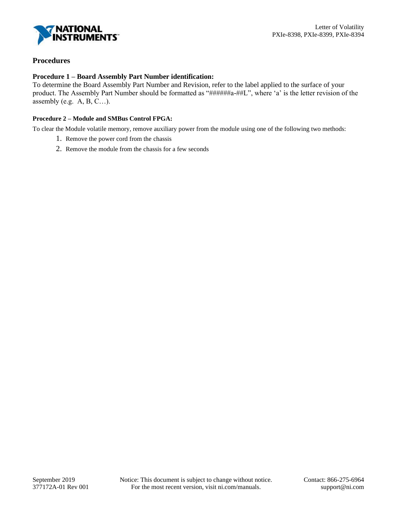

## **Procedures**

#### **Procedure 1 – Board Assembly Part Number identification:**

To determine the Board Assembly Part Number and Revision, refer to the label applied to the surface of your product. The Assembly Part Number should be formatted as "######a-##L", where 'a' is the letter revision of the assembly (e.g.  $A, B, C...$ ).

#### **Procedure 2 – Module and SMBus Control FPGA:**

To clear the Module volatile memory, remove auxiliary power from the module using one of the following two methods:

- 1. Remove the power cord from the chassis
- 2. Remove the module from the chassis for a few seconds